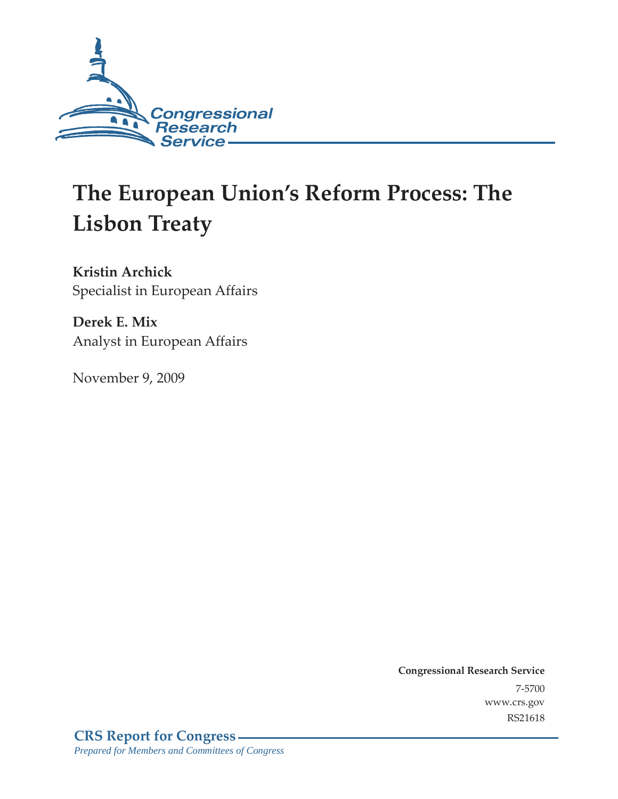

# **The European Union's Reform Process: The Lisbon Treaty**

**Kristin Archick**  Specialist in European Affairs

**Derek E. Mix**  Analyst in European Affairs

November 9, 2009

**Congressional Research Service** 7-5700 www.crs.gov RS21618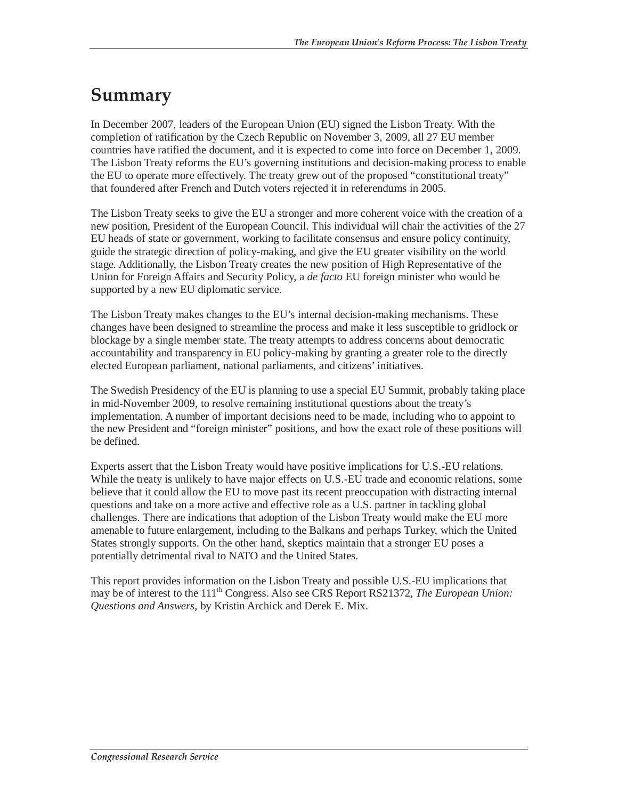### **Summary**

In December 2007, leaders of the European Union (EU) signed the Lisbon Treaty. With the completion of ratification by the Czech Republic on November 3, 2009, all 27 EU member countries have ratified the document, and it is expected to come into force on December 1, 2009. The Lisbon Treaty reforms the EU's governing institutions and decision-making process to enable the EU to operate more effectively. The treaty grew out of the proposed "constitutional treaty" that foundered after French and Dutch voters rejected it in referendums in 2005.

The Lisbon Treaty seeks to give the EU a stronger and more coherent voice with the creation of a new position, President of the European Council. This individual will chair the activities of the 27 EU heads of state or government, working to facilitate consensus and ensure policy continuity, guide the strategic direction of policy-making, and give the EU greater visibility on the world stage. Additionally, the Lisbon Treaty creates the new position of High Representative of the Union for Foreign Affairs and Security Policy, a *de facto* EU foreign minister who would be supported by a new EU diplomatic service.

The Lisbon Treaty makes changes to the EU's internal decision-making mechanisms. These changes have been designed to streamline the process and make it less susceptible to gridlock or blockage by a single member state. The treaty attempts to address concerns about democratic accountability and transparency in EU policy-making by granting a greater role to the directly elected European parliament, national parliaments, and citizens' initiatives.

The Swedish Presidency of the EU is planning to use a special EU Summit, probably taking place in mid-November 2009, to resolve remaining institutional questions about the treaty's implementation. A number of important decisions need to be made, including who to appoint to the new President and "foreign minister" positions, and how the exact role of these positions will be defined.

Experts assert that the Lisbon Treaty would have positive implications for U.S.-EU relations. While the treaty is unlikely to have major effects on U.S.-EU trade and economic relations, some believe that it could allow the EU to move past its recent preoccupation with distracting internal questions and take on a more active and effective role as a U.S. partner in tackling global challenges. There are indications that adoption of the Lisbon Treaty would make the EU more amenable to future enlargement, including to the Balkans and perhaps Turkey, which the United States strongly supports. On the other hand, skeptics maintain that a stronger EU poses a potentially detrimental rival to NATO and the United States.

This report provides information on the Lisbon Treaty and possible U.S.-EU implications that may be of interest to the 111<sup>th</sup> Congress. Also see CRS Report RS21372, *The European Union: Questions and Answers*, by Kristin Archick and Derek E. Mix.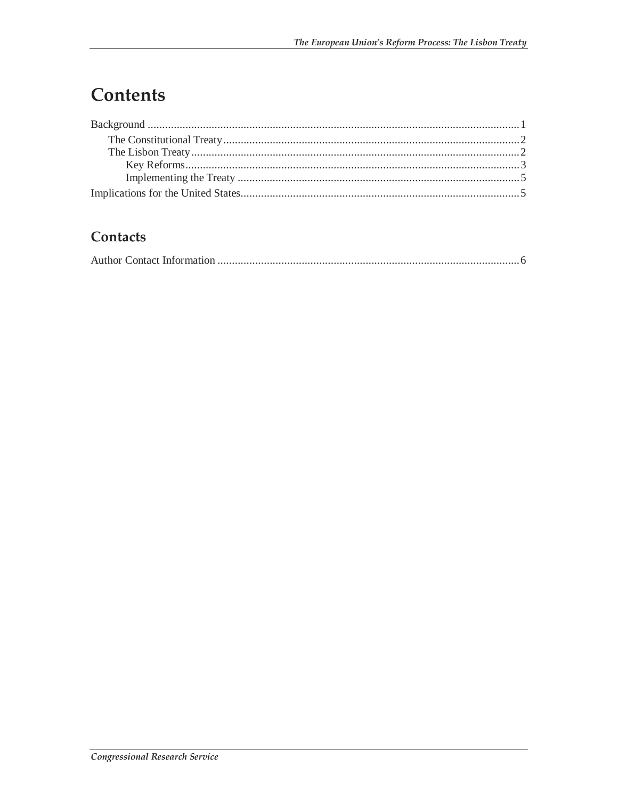# Contents

### Contacts

|--|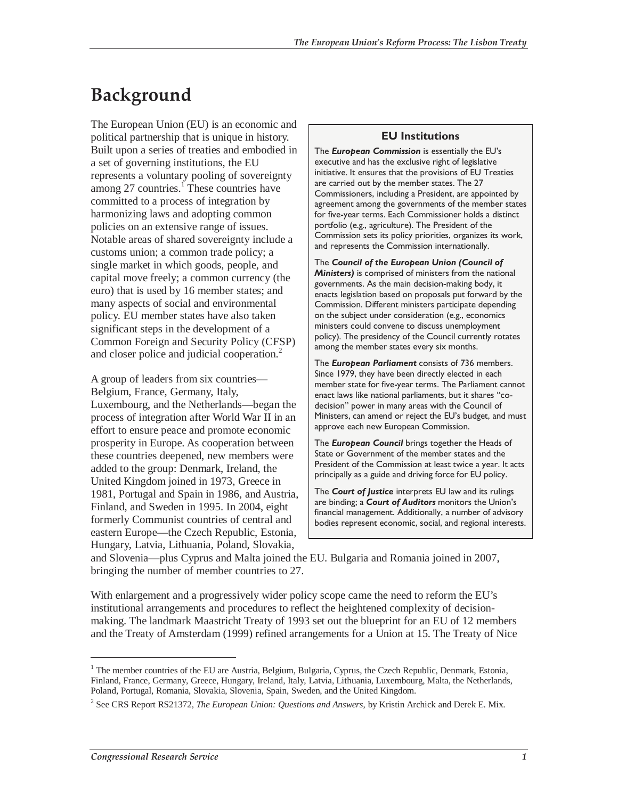# **Background**

The European Union (EU) is an economic and political partnership that is unique in history. Built upon a series of treaties and embodied in a set of governing institutions, the EU represents a voluntary pooling of sovereignty among 27 countries.<sup>1</sup> These countries have committed to a process of integration by harmonizing laws and adopting common policies on an extensive range of issues. Notable areas of shared sovereignty include a customs union; a common trade policy; a single market in which goods, people, and capital move freely; a common currency (the euro) that is used by 16 member states; and many aspects of social and environmental policy. EU member states have also taken significant steps in the development of a Common Foreign and Security Policy (CFSP) and closer police and judicial cooperation.<sup>2</sup>

A group of leaders from six countries— Belgium, France, Germany, Italy, Luxembourg, and the Netherlands—began the process of integration after World War II in an effort to ensure peace and promote economic prosperity in Europe. As cooperation between these countries deepened, new members were added to the group: Denmark, Ireland, the United Kingdom joined in 1973, Greece in 1981, Portugal and Spain in 1986, and Austria, Finland, and Sweden in 1995. In 2004, eight formerly Communist countries of central and eastern Europe—the Czech Republic, Estonia, Hungary, Latvia, Lithuania, Poland, Slovakia,

#### **EU Institutions**

The *European Commission* is essentially the EU's executive and has the exclusive right of legislative initiative. It ensures that the provisions of EU Treaties are carried out by the member states. The 27 Commissioners, including a President, are appointed by agreement among the governments of the member states for five-year terms. Each Commissioner holds a distinct portfolio (e.g., agriculture). The President of the Commission sets its policy priorities, organizes its work, and represents the Commission internationally.

The *Council of the European Union (Council of Ministers)* is comprised of ministers from the national governments. As the main decision-making body, it enacts legislation based on proposals put forward by the Commission. Different ministers participate depending on the subject under consideration (e.g., economics ministers could convene to discuss unemployment policy). The presidency of the Council currently rotates among the member states every six months.

The *European Parliament* consists of 736 members. Since 1979, they have been directly elected in each member state for five-year terms. The Parliament cannot enact laws like national parliaments, but it shares "codecision" power in many areas with the Council of Ministers, can amend or reject the EU's budget, and must approve each new European Commission.

The *European Council* brings together the Heads of State or Government of the member states and the President of the Commission at least twice a year. It acts principally as a guide and driving force for EU policy.

The *Court of Justice* interprets EU law and its rulings are binding; a *Court of Auditors* monitors the Union's financial management. Additionally, a number of advisory bodies represent economic, social, and regional interests.

and Slovenia—plus Cyprus and Malta joined the EU. Bulgaria and Romania joined in 2007, bringing the number of member countries to 27.

With enlargement and a progressively wider policy scope came the need to reform the EU's institutional arrangements and procedures to reflect the heightened complexity of decisionmaking. The landmark Maastricht Treaty of 1993 set out the blueprint for an EU of 12 members and the Treaty of Amsterdam (1999) refined arrangements for a Union at 15. The Treaty of Nice

<u>.</u>

<sup>&</sup>lt;sup>1</sup> The member countries of the EU are Austria, Belgium, Bulgaria, Cyprus, the Czech Republic, Denmark, Estonia, Finland, France, Germany, Greece, Hungary, Ireland, Italy, Latvia, Lithuania, Luxembourg, Malta, the Netherlands, Poland, Portugal, Romania, Slovakia, Slovenia, Spain, Sweden, and the United Kingdom.

<sup>2</sup> See CRS Report RS21372, *The European Union: Questions and Answers*, by Kristin Archick and Derek E. Mix.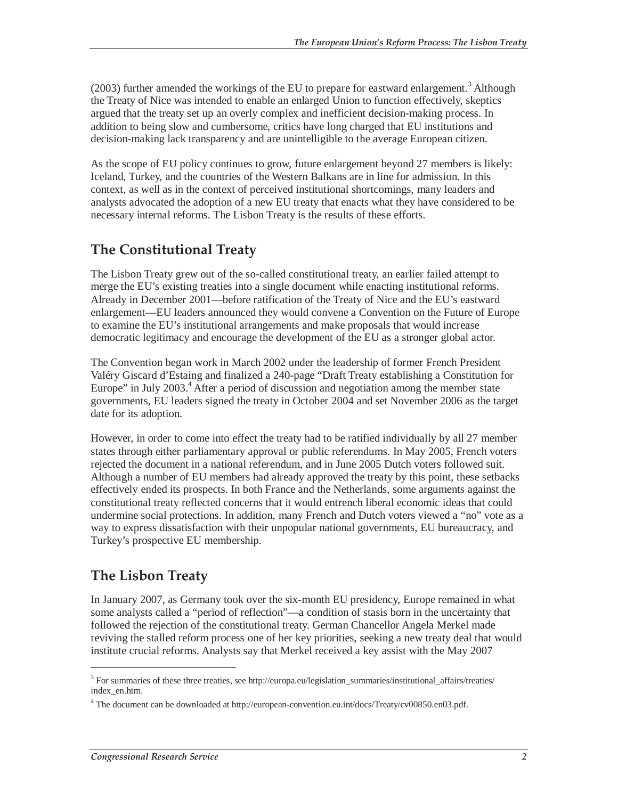$(2003)$  further amended the workings of the EU to prepare for eastward enlargement.<sup>3</sup> Although the Treaty of Nice was intended to enable an enlarged Union to function effectively, skeptics argued that the treaty set up an overly complex and inefficient decision-making process. In addition to being slow and cumbersome, critics have long charged that EU institutions and decision-making lack transparency and are unintelligible to the average European citizen.

As the scope of EU policy continues to grow, future enlargement beyond 27 members is likely: Iceland, Turkey, and the countries of the Western Balkans are in line for admission. In this context, as well as in the context of perceived institutional shortcomings, many leaders and analysts advocated the adoption of a new EU treaty that enacts what they have considered to be necessary internal reforms. The Lisbon Treaty is the results of these efforts.

### **The Constitutional Treaty**

The Lisbon Treaty grew out of the so-called constitutional treaty, an earlier failed attempt to merge the EU's existing treaties into a single document while enacting institutional reforms. Already in December 2001—before ratification of the Treaty of Nice and the EU's eastward enlargement—EU leaders announced they would convene a Convention on the Future of Europe to examine the EU's institutional arrangements and make proposals that would increase democratic legitimacy and encourage the development of the EU as a stronger global actor.

The Convention began work in March 2002 under the leadership of former French President Valéry Giscard d'Estaing and finalized a 240-page "Draft Treaty establishing a Constitution for Europe" in July 2003.<sup>4</sup> After a period of discussion and negotiation among the member state governments, EU leaders signed the treaty in October 2004 and set November 2006 as the target date for its adoption.

However, in order to come into effect the treaty had to be ratified individually by all 27 member states through either parliamentary approval or public referendums. In May 2005, French voters rejected the document in a national referendum, and in June 2005 Dutch voters followed suit. Although a number of EU members had already approved the treaty by this point, these setbacks effectively ended its prospects. In both France and the Netherlands, some arguments against the constitutional treaty reflected concerns that it would entrench liberal economic ideas that could undermine social protections. In addition, many French and Dutch voters viewed a "no" vote as a way to express dissatisfaction with their unpopular national governments, EU bureaucracy, and Turkey's prospective EU membership.

### **The Lisbon Treaty**

-

In January 2007, as Germany took over the six-month EU presidency, Europe remained in what some analysts called a "period of reflection"—a condition of stasis born in the uncertainty that followed the rejection of the constitutional treaty. German Chancellor Angela Merkel made reviving the stalled reform process one of her key priorities, seeking a new treaty deal that would institute crucial reforms. Analysts say that Merkel received a key assist with the May 2007

<sup>&</sup>lt;sup>3</sup> For summaries of these three treaties, see http://europa.eu/legislation\_summaries/institutional\_affairs/treaties/ index\_en.htm.

<sup>&</sup>lt;sup>4</sup> The document can be downloaded at http://european-convention.eu.int/docs/Treaty/cv00850.en03.pdf.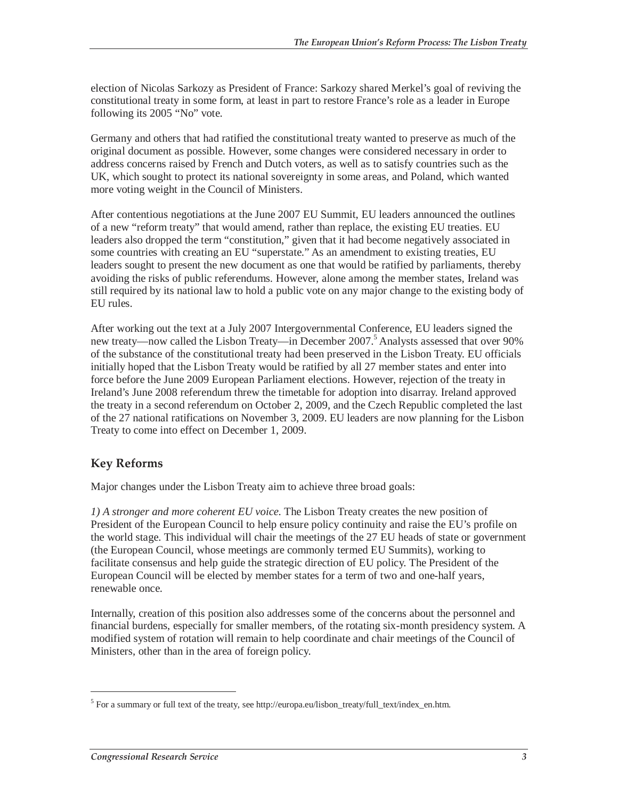election of Nicolas Sarkozy as President of France: Sarkozy shared Merkel's goal of reviving the constitutional treaty in some form, at least in part to restore France's role as a leader in Europe following its 2005 "No" vote.

Germany and others that had ratified the constitutional treaty wanted to preserve as much of the original document as possible. However, some changes were considered necessary in order to address concerns raised by French and Dutch voters, as well as to satisfy countries such as the UK, which sought to protect its national sovereignty in some areas, and Poland, which wanted more voting weight in the Council of Ministers.

After contentious negotiations at the June 2007 EU Summit, EU leaders announced the outlines of a new "reform treaty" that would amend, rather than replace, the existing EU treaties. EU leaders also dropped the term "constitution," given that it had become negatively associated in some countries with creating an EU "superstate." As an amendment to existing treaties, EU leaders sought to present the new document as one that would be ratified by parliaments, thereby avoiding the risks of public referendums. However, alone among the member states, Ireland was still required by its national law to hold a public vote on any major change to the existing body of EU rules.

After working out the text at a July 2007 Intergovernmental Conference, EU leaders signed the new treaty—now called the Lisbon Treaty—in December 2007.<sup>5</sup> Analysts assessed that over 90% of the substance of the constitutional treaty had been preserved in the Lisbon Treaty. EU officials initially hoped that the Lisbon Treaty would be ratified by all 27 member states and enter into force before the June 2009 European Parliament elections. However, rejection of the treaty in Ireland's June 2008 referendum threw the timetable for adoption into disarray. Ireland approved the treaty in a second referendum on October 2, 2009, and the Czech Republic completed the last of the 27 national ratifications on November 3, 2009. EU leaders are now planning for the Lisbon Treaty to come into effect on December 1, 2009.

#### **Key Reforms**

Major changes under the Lisbon Treaty aim to achieve three broad goals:

*1) A stronger and more coherent EU voice.* The Lisbon Treaty creates the new position of President of the European Council to help ensure policy continuity and raise the EU's profile on the world stage. This individual will chair the meetings of the 27 EU heads of state or government (the European Council, whose meetings are commonly termed EU Summits), working to facilitate consensus and help guide the strategic direction of EU policy. The President of the European Council will be elected by member states for a term of two and one-half years, renewable once.

Internally, creation of this position also addresses some of the concerns about the personnel and financial burdens, especially for smaller members, of the rotating six-month presidency system. A modified system of rotation will remain to help coordinate and chair meetings of the Council of Ministers, other than in the area of foreign policy.

-

<sup>&</sup>lt;sup>5</sup> For a summary or full text of the treaty, see http://europa.eu/lisbon\_treaty/full\_text/index\_en.htm.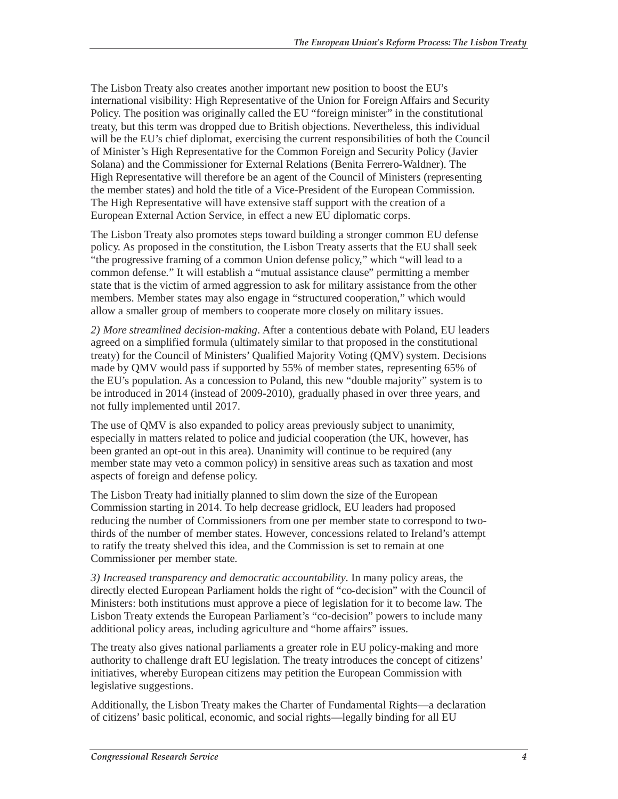The Lisbon Treaty also creates another important new position to boost the EU's international visibility: High Representative of the Union for Foreign Affairs and Security Policy. The position was originally called the EU "foreign minister" in the constitutional treaty, but this term was dropped due to British objections. Nevertheless, this individual will be the EU's chief diplomat, exercising the current responsibilities of both the Council of Minister's High Representative for the Common Foreign and Security Policy (Javier Solana) and the Commissioner for External Relations (Benita Ferrero-Waldner). The High Representative will therefore be an agent of the Council of Ministers (representing the member states) and hold the title of a Vice-President of the European Commission. The High Representative will have extensive staff support with the creation of a European External Action Service, in effect a new EU diplomatic corps.

The Lisbon Treaty also promotes steps toward building a stronger common EU defense policy. As proposed in the constitution, the Lisbon Treaty asserts that the EU shall seek "the progressive framing of a common Union defense policy," which "will lead to a common defense." It will establish a "mutual assistance clause" permitting a member state that is the victim of armed aggression to ask for military assistance from the other members. Member states may also engage in "structured cooperation," which would allow a smaller group of members to cooperate more closely on military issues.

*2) More streamlined decision-making*. After a contentious debate with Poland, EU leaders agreed on a simplified formula (ultimately similar to that proposed in the constitutional treaty) for the Council of Ministers' Qualified Majority Voting (QMV) system. Decisions made by QMV would pass if supported by 55% of member states, representing 65% of the EU's population. As a concession to Poland, this new "double majority" system is to be introduced in 2014 (instead of 2009-2010), gradually phased in over three years, and not fully implemented until 2017.

The use of QMV is also expanded to policy areas previously subject to unanimity, especially in matters related to police and judicial cooperation (the UK, however, has been granted an opt-out in this area). Unanimity will continue to be required (any member state may veto a common policy) in sensitive areas such as taxation and most aspects of foreign and defense policy.

The Lisbon Treaty had initially planned to slim down the size of the European Commission starting in 2014. To help decrease gridlock, EU leaders had proposed reducing the number of Commissioners from one per member state to correspond to twothirds of the number of member states. However, concessions related to Ireland's attempt to ratify the treaty shelved this idea, and the Commission is set to remain at one Commissioner per member state.

*3) Increased transparency and democratic accountability*. In many policy areas, the directly elected European Parliament holds the right of "co-decision" with the Council of Ministers: both institutions must approve a piece of legislation for it to become law. The Lisbon Treaty extends the European Parliament's "co-decision" powers to include many additional policy areas, including agriculture and "home affairs" issues.

The treaty also gives national parliaments a greater role in EU policy-making and more authority to challenge draft EU legislation. The treaty introduces the concept of citizens' initiatives, whereby European citizens may petition the European Commission with legislative suggestions.

Additionally, the Lisbon Treaty makes the Charter of Fundamental Rights—a declaration of citizens' basic political, economic, and social rights—legally binding for all EU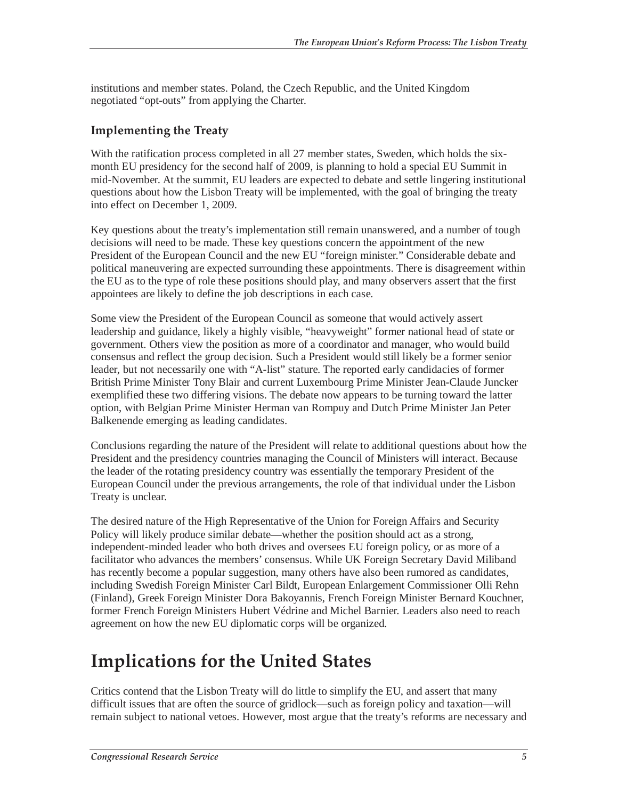institutions and member states. Poland, the Czech Republic, and the United Kingdom negotiated "opt-outs" from applying the Charter.

#### **Implementing the Treaty**

With the ratification process completed in all 27 member states, Sweden, which holds the sixmonth EU presidency for the second half of 2009, is planning to hold a special EU Summit in mid-November. At the summit, EU leaders are expected to debate and settle lingering institutional questions about how the Lisbon Treaty will be implemented, with the goal of bringing the treaty into effect on December 1, 2009.

Key questions about the treaty's implementation still remain unanswered, and a number of tough decisions will need to be made. These key questions concern the appointment of the new President of the European Council and the new EU "foreign minister." Considerable debate and political maneuvering are expected surrounding these appointments. There is disagreement within the EU as to the type of role these positions should play, and many observers assert that the first appointees are likely to define the job descriptions in each case.

Some view the President of the European Council as someone that would actively assert leadership and guidance, likely a highly visible, "heavyweight" former national head of state or government. Others view the position as more of a coordinator and manager, who would build consensus and reflect the group decision. Such a President would still likely be a former senior leader, but not necessarily one with "A-list" stature. The reported early candidacies of former British Prime Minister Tony Blair and current Luxembourg Prime Minister Jean-Claude Juncker exemplified these two differing visions. The debate now appears to be turning toward the latter option, with Belgian Prime Minister Herman van Rompuy and Dutch Prime Minister Jan Peter Balkenende emerging as leading candidates.

Conclusions regarding the nature of the President will relate to additional questions about how the President and the presidency countries managing the Council of Ministers will interact. Because the leader of the rotating presidency country was essentially the temporary President of the European Council under the previous arrangements, the role of that individual under the Lisbon Treaty is unclear.

The desired nature of the High Representative of the Union for Foreign Affairs and Security Policy will likely produce similar debate—whether the position should act as a strong, independent-minded leader who both drives and oversees EU foreign policy, or as more of a facilitator who advances the members' consensus. While UK Foreign Secretary David Miliband has recently become a popular suggestion, many others have also been rumored as candidates, including Swedish Foreign Minister Carl Bildt, European Enlargement Commissioner Olli Rehn (Finland), Greek Foreign Minister Dora Bakoyannis, French Foreign Minister Bernard Kouchner, former French Foreign Ministers Hubert Védrine and Michel Barnier. Leaders also need to reach agreement on how the new EU diplomatic corps will be organized.

## **Implications for the United States**

Critics contend that the Lisbon Treaty will do little to simplify the EU, and assert that many difficult issues that are often the source of gridlock—such as foreign policy and taxation—will remain subject to national vetoes. However, most argue that the treaty's reforms are necessary and